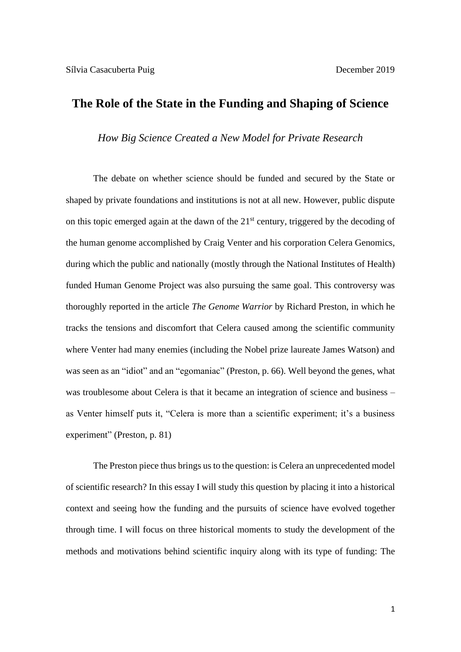## **The Role of the State in the Funding and Shaping of Science**

*How Big Science Created a New Model for Private Research*

 The debate on whether science should be funded and secured by the State or shaped by private foundations and institutions is not at all new. However, public dispute on this topic emerged again at the dawn of the 21<sup>st</sup> century, triggered by the decoding of the human genome accomplished by Craig Venter and his corporation Celera Genomics, during which the public and nationally (mostly through the National Institutes of Health) funded Human Genome Project was also pursuing the same goal. This controversy was thoroughly reported in the article *The Genome Warrior* by Richard Preston, in which he tracks the tensions and discomfort that Celera caused among the scientific community where Venter had many enemies (including the Nobel prize laureate James Watson) and was seen as an "idiot" and an "egomaniac" (Preston, p. 66). Well beyond the genes, what was troublesome about Celera is that it became an integration of science and business – as Venter himself puts it, "Celera is more than a scientific experiment; it's a business experiment" (Preston, p. 81)

 The Preston piece thus brings us to the question: is Celera an unprecedented model of scientific research? In this essay I will study this question by placing it into a historical context and seeing how the funding and the pursuits of science have evolved together through time. I will focus on three historical moments to study the development of the methods and motivations behind scientific inquiry along with its type of funding: The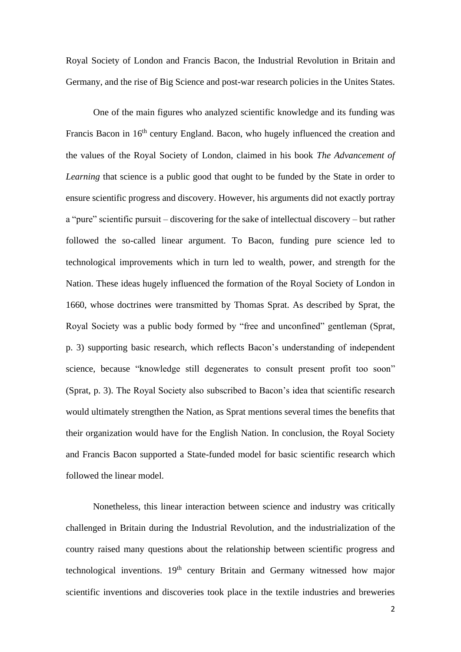Royal Society of London and Francis Bacon, the Industrial Revolution in Britain and Germany, and the rise of Big Science and post-war research policies in the Unites States.

 One of the main figures who analyzed scientific knowledge and its funding was Francis Bacon in 16<sup>th</sup> century England. Bacon, who hugely influenced the creation and the values of the Royal Society of London, claimed in his book *The Advancement of Learning* that science is a public good that ought to be funded by the State in order to ensure scientific progress and discovery. However, his arguments did not exactly portray a "pure" scientific pursuit – discovering for the sake of intellectual discovery – but rather followed the so-called linear argument. To Bacon, funding pure science led to technological improvements which in turn led to wealth, power, and strength for the Nation. These ideas hugely influenced the formation of the Royal Society of London in 1660, whose doctrines were transmitted by Thomas Sprat. As described by Sprat, the Royal Society was a public body formed by "free and unconfined" gentleman (Sprat, p. 3) supporting basic research, which reflects Bacon's understanding of independent science, because "knowledge still degenerates to consult present profit too soon" (Sprat, p. 3). The Royal Society also subscribed to Bacon's idea that scientific research would ultimately strengthen the Nation, as Sprat mentions several times the benefits that their organization would have for the English Nation. In conclusion, the Royal Society and Francis Bacon supported a State-funded model for basic scientific research which followed the linear model.

Nonetheless, this linear interaction between science and industry was critically challenged in Britain during the Industrial Revolution, and the industrialization of the country raised many questions about the relationship between scientific progress and technological inventions. 19<sup>th</sup> century Britain and Germany witnessed how major scientific inventions and discoveries took place in the textile industries and breweries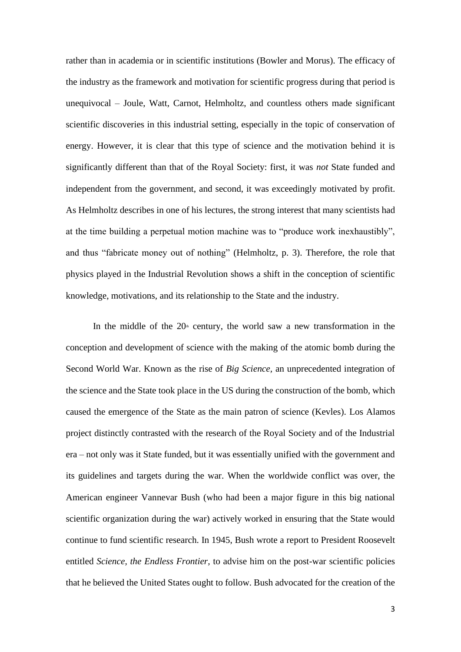rather than in academia or in scientific institutions (Bowler and Morus). The efficacy of the industry as the framework and motivation for scientific progress during that period is unequivocal – Joule, Watt, Carnot, Helmholtz, and countless others made significant scientific discoveries in this industrial setting, especially in the topic of conservation of energy. However, it is clear that this type of science and the motivation behind it is significantly different than that of the Royal Society: first, it was *not* State funded and independent from the government, and second, it was exceedingly motivated by profit. As Helmholtz describes in one of his lectures, the strong interest that many scientists had at the time building a perpetual motion machine was to "produce work inexhaustibly", and thus "fabricate money out of nothing" (Helmholtz, p. 3). Therefore, the role that physics played in the Industrial Revolution shows a shift in the conception of scientific knowledge, motivations, and its relationship to the State and the industry.

In the middle of the  $20<sup>a</sup>$  century, the world saw a new transformation in the conception and development of science with the making of the atomic bomb during the Second World War. Known as the rise of *Big Science,* an unprecedented integration of the science and the State took place in the US during the construction of the bomb, which caused the emergence of the State as the main patron of science (Kevles). Los Alamos project distinctly contrasted with the research of the Royal Society and of the Industrial era – not only was it State funded, but it was essentially unified with the government and its guidelines and targets during the war. When the worldwide conflict was over, the American engineer Vannevar Bush (who had been a major figure in this big national scientific organization during the war) actively worked in ensuring that the State would continue to fund scientific research. In 1945, Bush wrote a report to President Roosevelt entitled *Science, the Endless Frontier,* to advise him on the post-war scientific policies that he believed the United States ought to follow. Bush advocated for the creation of the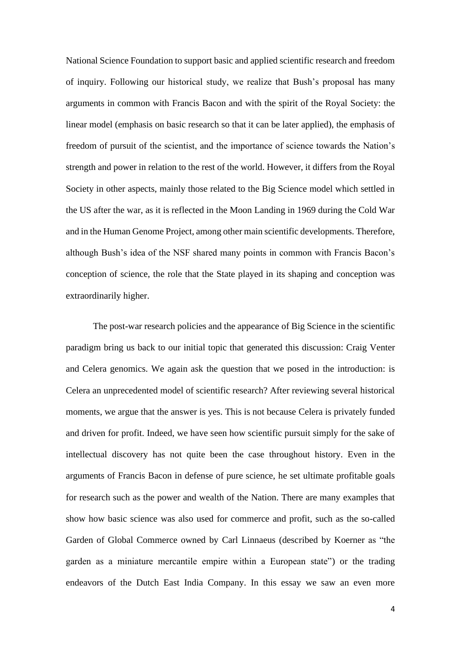National Science Foundation to support basic and applied scientific research and freedom of inquiry. Following our historical study, we realize that Bush's proposal has many arguments in common with Francis Bacon and with the spirit of the Royal Society: the linear model (emphasis on basic research so that it can be later applied), the emphasis of freedom of pursuit of the scientist, and the importance of science towards the Nation's strength and power in relation to the rest of the world. However, it differs from the Royal Society in other aspects, mainly those related to the Big Science model which settled in the US after the war, as it is reflected in the Moon Landing in 1969 during the Cold War and in the Human Genome Project, among other main scientific developments. Therefore, although Bush's idea of the NSF shared many points in common with Francis Bacon's conception of science, the role that the State played in its shaping and conception was extraordinarily higher.

The post-war research policies and the appearance of Big Science in the scientific paradigm bring us back to our initial topic that generated this discussion: Craig Venter and Celera genomics. We again ask the question that we posed in the introduction: is Celera an unprecedented model of scientific research? After reviewing several historical moments, we argue that the answer is yes. This is not because Celera is privately funded and driven for profit. Indeed, we have seen how scientific pursuit simply for the sake of intellectual discovery has not quite been the case throughout history. Even in the arguments of Francis Bacon in defense of pure science, he set ultimate profitable goals for research such as the power and wealth of the Nation. There are many examples that show how basic science was also used for commerce and profit, such as the so-called Garden of Global Commerce owned by Carl Linnaeus (described by Koerner as "the garden as a miniature mercantile empire within a European state") or the trading endeavors of the Dutch East India Company. In this essay we saw an even more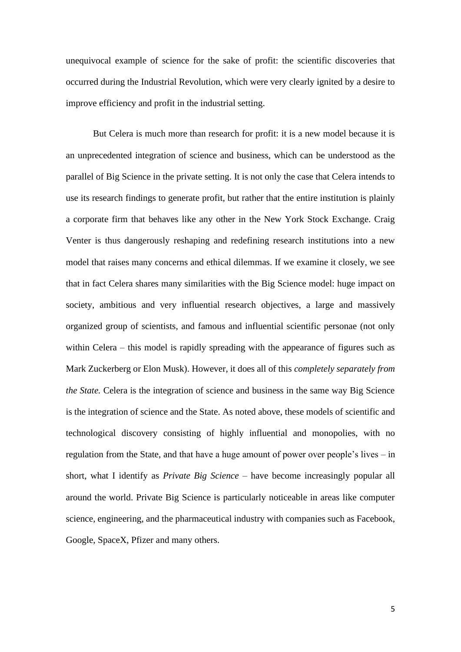unequivocal example of science for the sake of profit: the scientific discoveries that occurred during the Industrial Revolution, which were very clearly ignited by a desire to improve efficiency and profit in the industrial setting.

But Celera is much more than research for profit: it is a new model because it is an unprecedented integration of science and business, which can be understood as the parallel of Big Science in the private setting. It is not only the case that Celera intends to use its research findings to generate profit, but rather that the entire institution is plainly a corporate firm that behaves like any other in the New York Stock Exchange. Craig Venter is thus dangerously reshaping and redefining research institutions into a new model that raises many concerns and ethical dilemmas. If we examine it closely, we see that in fact Celera shares many similarities with the Big Science model: huge impact on society, ambitious and very influential research objectives, a large and massively organized group of scientists, and famous and influential scientific personae (not only within Celera – this model is rapidly spreading with the appearance of figures such as Mark Zuckerberg or Elon Musk). However, it does all of this *completely separately from the State.* Celera is the integration of science and business in the same way Big Science is the integration of science and the State. As noted above, these models of scientific and technological discovery consisting of highly influential and monopolies, with no regulation from the State, and that have a huge amount of power over people's lives – in short, what I identify as *Private Big Science* – have become increasingly popular all around the world. Private Big Science is particularly noticeable in areas like computer science, engineering, and the pharmaceutical industry with companies such as Facebook, Google, SpaceX, Pfizer and many others.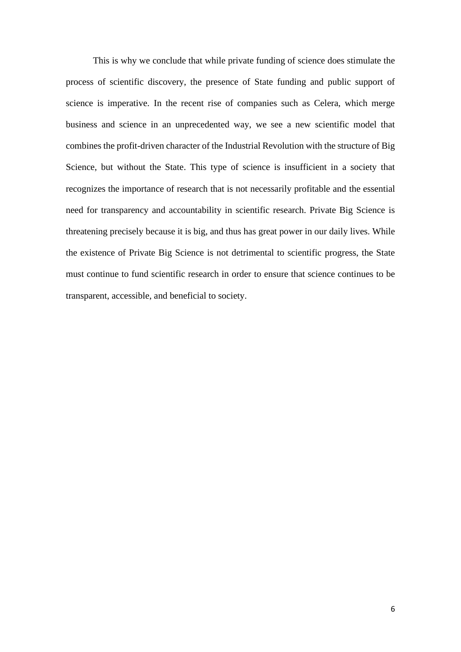This is why we conclude that while private funding of science does stimulate the process of scientific discovery, the presence of State funding and public support of science is imperative. In the recent rise of companies such as Celera, which merge business and science in an unprecedented way, we see a new scientific model that combines the profit-driven character of the Industrial Revolution with the structure of Big Science, but without the State. This type of science is insufficient in a society that recognizes the importance of research that is not necessarily profitable and the essential need for transparency and accountability in scientific research. Private Big Science is threatening precisely because it is big, and thus has great power in our daily lives. While the existence of Private Big Science is not detrimental to scientific progress, the State must continue to fund scientific research in order to ensure that science continues to be transparent, accessible, and beneficial to society.